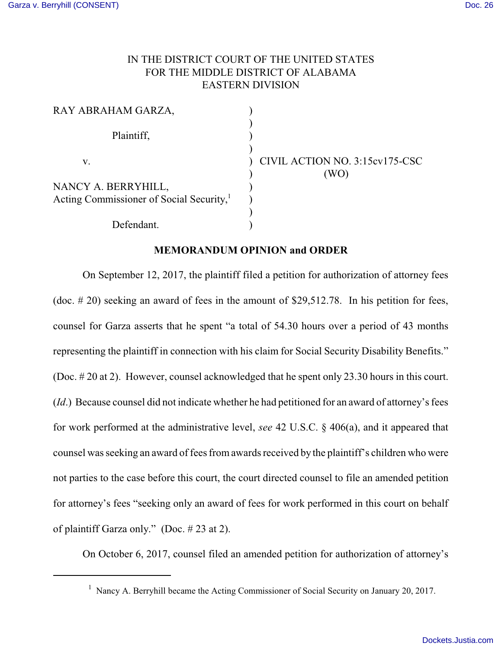## IN THE DISTRICT COURT OF THE UNITED STATES FOR THE MIDDLE DISTRICT OF ALABAMA EASTERN DIVISION

| RAY ABRAHAM GARZA,                                                          |  |
|-----------------------------------------------------------------------------|--|
| Plaintiff,                                                                  |  |
| V.                                                                          |  |
| NANCY A. BERRYHILL,<br>Acting Commissioner of Social Security, <sup>1</sup> |  |
| Defendant.                                                                  |  |

CIVIL ACTION NO. 3:15cv175-CSC ) (WO)

## **MEMORANDUM OPINION and ORDER**

On September 12, 2017, the plaintiff filed a petition for authorization of attorney fees (doc. # 20) seeking an award of fees in the amount of \$29,512.78. In his petition for fees, counsel for Garza asserts that he spent "a total of 54.30 hours over a period of 43 months representing the plaintiff in connection with his claim for Social Security Disability Benefits." (Doc. # 20 at 2). However, counsel acknowledged that he spent only 23.30 hours in this court. (*Id*.) Because counsel did not indicate whether he had petitioned for an award of attorney's fees for work performed at the administrative level, *see* 42 U.S.C. § 406(a), and it appeared that counsel was seeking an award of fees fromawards received by the plaintiff's children who were not parties to the case before this court, the court directed counsel to file an amended petition for attorney's fees "seeking only an award of fees for work performed in this court on behalf of plaintiff Garza only." (Doc. # 23 at 2).

On October 6, 2017, counsel filed an amended petition for authorization of attorney's

 $1$  Nancy A. Berryhill became the Acting Commissioner of Social Security on January 20, 2017.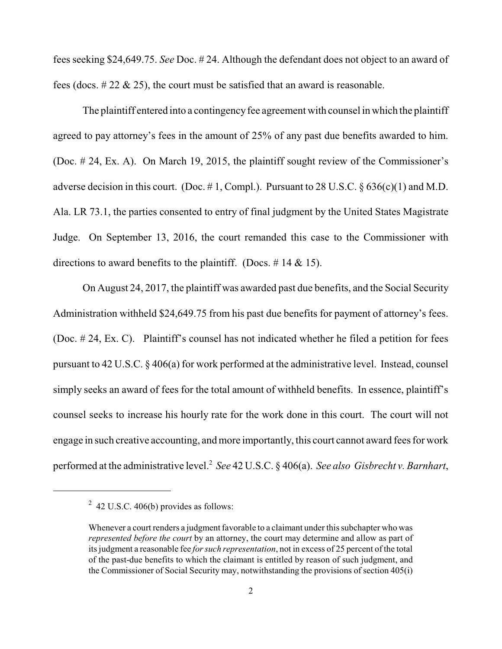fees seeking \$24,649.75. *See* Doc. # 24. Although the defendant does not object to an award of fees (docs.  $\# 22 \& 25$ ), the court must be satisfied that an award is reasonable.

The plaintiff entered into a contingency fee agreement with counsel in which the plaintiff agreed to pay attorney's fees in the amount of 25% of any past due benefits awarded to him. (Doc. # 24, Ex. A). On March 19, 2015, the plaintiff sought review of the Commissioner's adverse decision in this court. (Doc. #1, Compl.). Pursuant to 28 U.S.C.  $\S 636(c)(1)$  and M.D. Ala. LR 73.1, the parties consented to entry of final judgment by the United States Magistrate Judge. On September 13, 2016, the court remanded this case to the Commissioner with directions to award benefits to the plaintiff. (Docs.  $\#$  14 & 15).

On August 24, 2017, the plaintiff was awarded past due benefits, and the Social Security Administration withheld \$24,649.75 from his past due benefits for payment of attorney's fees. (Doc. # 24, Ex. C). Plaintiff's counsel has not indicated whether he filed a petition for fees pursuant to 42 U.S.C. § 406(a) for work performed at the administrative level. Instead, counsel simply seeks an award of fees for the total amount of withheld benefits. In essence, plaintiff's counsel seeks to increase his hourly rate for the work done in this court. The court will not engage in such creative accounting, and more importantly, this court cannot award fees for work performed at the administrative level.<sup>2</sup> See 42 U.S.C. § 406(a). See also Gisbrecht v. Barnhart,

 $2\,$  42 U.S.C. 406(b) provides as follows:

Whenever a court renders a judgment favorable to a claimant under this subchapter who was *represented before the court* by an attorney, the court may determine and allow as part of its judgment a reasonable fee *forsuch representation*, not in excess of 25 percent of the total of the past-due benefits to which the claimant is entitled by reason of such judgment, and the Commissioner of Social Security may, notwithstanding the provisions of section 405(i)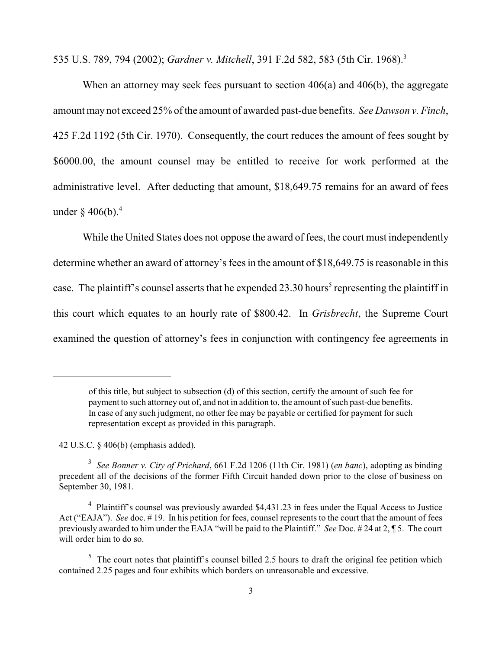535 U.S. 789, 794 (2002); *Gardner v. Mitchell*, 391 F.2d 582, 583 (5th Cir. 1968).<sup>3</sup>

When an attorney may seek fees pursuant to section 406(a) and 406(b), the aggregate amount may not exceed 25% ofthe amount of awarded past-due benefits. *See Dawson v. Finch*, 425 F.2d 1192 (5th Cir. 1970). Consequently, the court reduces the amount of fees sought by \$6000.00, the amount counsel may be entitled to receive for work performed at the administrative level. After deducting that amount, \$18,649.75 remains for an award of fees under  $\delta$  406(b).<sup>4</sup>

While the United States does not oppose the award of fees, the court must independently determine whether an award of attorney's fees in the amount of \$18,649.75 is reasonable in this case. The plaintiff's counsel asserts that he expended 23.30 hours<sup>5</sup> representing the plaintiff in this court which equates to an hourly rate of \$800.42. In *Grisbrecht*, the Supreme Court examined the question of attorney's fees in conjunction with contingency fee agreements in

42 U.S.C. § 406(b) (emphasis added).

of this title, but subject to subsection (d) of this section, certify the amount of such fee for payment to such attorney out of, and not in addition to, the amount of such past-due benefits. In case of any such judgment, no other fee may be payable or certified for payment for such representation except as provided in this paragraph.

*See Bonner v. City of Prichard*, 661 F.2d 1206 (11th Cir. 1981) (*en banc*), adopting as binding 3 precedent all of the decisions of the former Fifth Circuit handed down prior to the close of business on September 30, 1981.

<sup>&</sup>lt;sup>4</sup> Plaintiff's counsel was previously awarded \$4,431.23 in fees under the Equal Access to Justice Act ("EAJA"). *See* doc. #19. In his petition for fees, counsel represents to the court that the amount of fees previously awarded to him under the EAJA "will be paid to the Plaintiff." *See* Doc. # 24 at 2, ¶ 5. The court will order him to do so.

 $5$  The court notes that plaintiff's counsel billed 2.5 hours to draft the original fee petition which contained 2.25 pages and four exhibits which borders on unreasonable and excessive.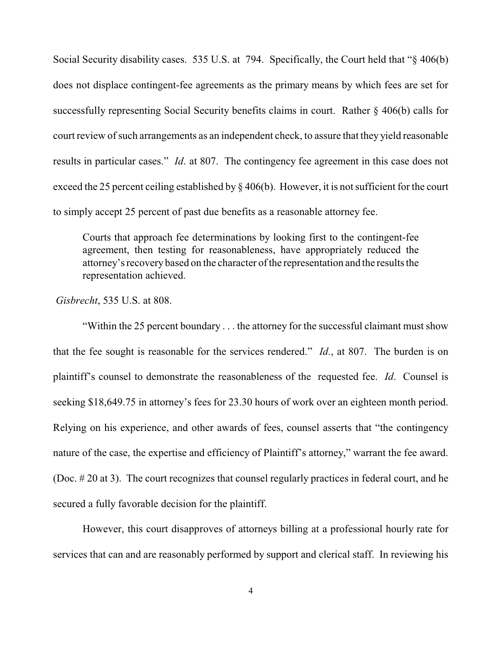Social Security disability cases. 535 U.S. at 794. Specifically, the Court held that "§ 406(b) does not displace contingent-fee agreements as the primary means by which fees are set for successfully representing Social Security benefits claims in court. Rather § 406(b) calls for court review of such arrangements as an independent check, to assure that they yield reasonable results in particular cases." *Id*. at 807. The contingency fee agreement in this case does not exceed the 25 percent ceiling established by § 406(b). However, it is not sufficient for the court to simply accept 25 percent of past due benefits as a reasonable attorney fee.

Courts that approach fee determinations by looking first to the contingent-fee agreement, then testing for reasonableness, have appropriately reduced the attorney's recovery based on the character ofthe representation and the results the representation achieved.

 *Gisbrecht*, 535 U.S. at 808.

"Within the 25 percent boundary . . . the attorney for the successful claimant must show that the fee sought is reasonable for the services rendered." *Id.*, at 807. The burden is on plaintiff's counsel to demonstrate the reasonableness of the requested fee. *Id*. Counsel is seeking \$18,649.75 in attorney's fees for 23.30 hours of work over an eighteen month period. Relying on his experience, and other awards of fees, counsel asserts that "the contingency nature of the case, the expertise and efficiency of Plaintiff's attorney," warrant the fee award. (Doc. # 20 at 3). The court recognizes that counsel regularly practices in federal court, and he secured a fully favorable decision for the plaintiff.

However, this court disapproves of attorneys billing at a professional hourly rate for services that can and are reasonably performed by support and clerical staff. In reviewing his